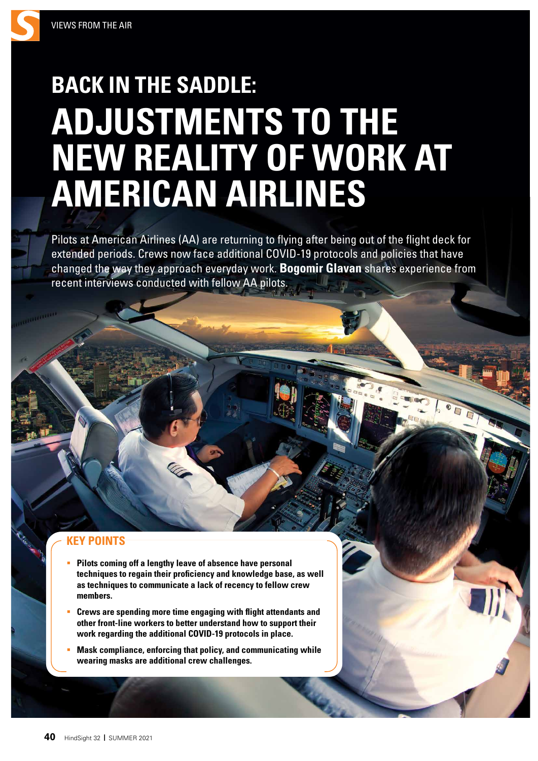## **BACK IN THE SADDLE: ADJUSTMENTS TO THE NEW REALITY OF WORK AT AMERICAN AIRLINES**

Pilots at American Airlines (AA) are returning to flying after being out of the flight deck for extended periods. Crews now face additional COVID-19 protocols and policies that have changed the way they approach everyday work. **Bogomir Glavan** shares experience from recent interviews conducted with fellow AA pilots.

## **KEY POINTS**

- **Pilots coming off a lengthy leave of absence have personal techniques to regain their proficiency and knowledge base, as well as techniques to communicate a lack of recency to fellow crew members.**
- **Crews are spending more time engaging with flight attendants and other front-line workers to better understand how to support their work regarding the additional COVID-19 protocols in place.**
- **Mask compliance, enforcing that policy, and communicating while wearing masks are additional crew challenges.**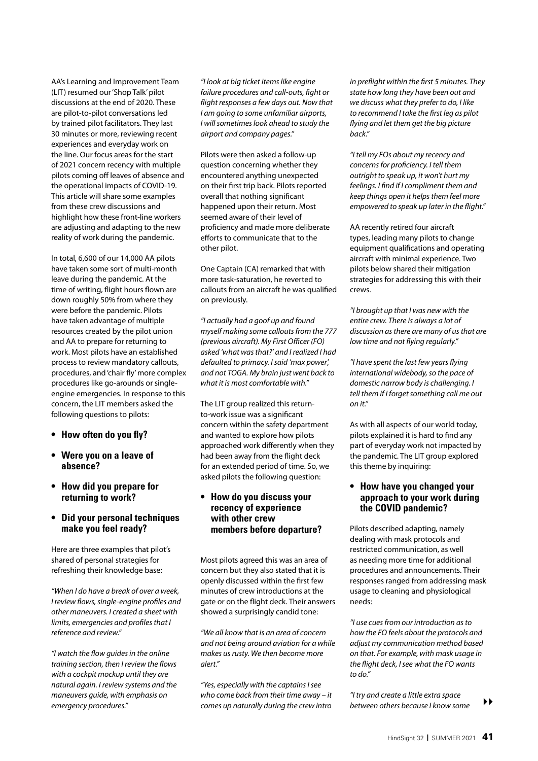AA's Learning and Improvement Team (LIT) resumed our 'Shop Talk' pilot discussions at the end of 2020. These are pilot-to-pilot conversations led by trained pilot facilitators. They last 30 minutes or more, reviewing recent experiences and everyday work on the line. Our focus areas for the start of 2021 concern recency with multiple pilots coming off leaves of absence and the operational impacts of COVID-19. This article will share some examples from these crew discussions and highlight how these front-line workers are adjusting and adapting to the new reality of work during the pandemic.

In total, 6,600 of our 14,000 AA pilots have taken some sort of multi-month leave during the pandemic. At the time of writing, flight hours flown are down roughly 50% from where they were before the pandemic. Pilots have taken advantage of multiple resources created by the pilot union and AA to prepare for returning to work. Most pilots have an established process to review mandatory callouts, procedures, and 'chair fly' more complex procedures like go-arounds or singleengine emergencies. In response to this concern, the LIT members asked the following questions to pilots:

- **• How often do you fly?**
- **• Were you on a leave of absence?**
- **• How did you prepare for returning to work?**
- **• Did your personal techniques make you feel ready?**

Here are three examples that pilot's shared of personal strategies for refreshing their knowledge base:

*"When I do have a break of over a week, I review flows, single-engine profiles and other maneuvers. I created a sheet with limits, emergencies and profiles that I reference and review."* 

*"I watch the flow guides in the online training section, then I review the flows with a cockpit mockup until they are natural again. I review systems and the maneuvers guide, with emphasis on emergency procedures."*

*"I look at big ticket items like engine failure procedures and call-outs, fight or flight responses a few days out. Now that I am going to some unfamiliar airports, I will sometimes look ahead to study the airport and company pages."* 

Pilots were then asked a follow-up question concerning whether they encountered anything unexpected on their first trip back. Pilots reported overall that nothing significant happened upon their return. Most seemed aware of their level of proficiency and made more deliberate efforts to communicate that to the other pilot.

One Captain (CA) remarked that with more task-saturation, he reverted to callouts from an aircraft he was qualified on previously.

*"I actually had a goof up and found myself making some callouts from the 777 (previous aircraft). My First O*ffi*cer (FO) asked 'what was that?' and I realized I had defaulted to primacy. I said 'max power', and not TOGA. My brain just went back to what it is most comfortable with."* 

The LIT group realized this returnto-work issue was a significant concern within the safety department and wanted to explore how pilots approached work differently when they had been away from the flight deck for an extended period of time. So, we asked pilots the following question:

## **• How do you discuss your recency of experience with other crew members before departure?**

Most pilots agreed this was an area of concern but they also stated that it is openly discussed within the first few minutes of crew introductions at the gate or on the flight deck. Their answers showed a surprisingly candid tone:

*"We all know that is an area of concern and not being around aviation for a while makes us rusty. We then become more alert."* 

*"Yes, especially with the captains I see who come back from their time away – it comes up naturally during the crew intro*  *in preflight within the first 5 minutes. They state how long they have been out and we discuss what they prefer to do, I like to recommend I take the first leg as pilot flying and let them get the big picture back."* 

*"I tell my FOs about my recency and concerns for proficiency. I tell them outright to speak up, it won't hurt my feelings. I find if I compliment them and keep things open it helps them feel more empowered to speak up later in the flight."* 

AA recently retired four aircraft types, leading many pilots to change equipment qualifications and operating aircraft with minimal experience. Two pilots below shared their mitigation strategies for addressing this with their crews.

*"I brought up that I was new with the entire crew. There is always a lot of discussion as there are many of us that are low time and not flying regularly."*

*"I have spent the last few years flying international widebody, so the pace of domestic narrow body is challenging. I tell them if I forget something call me out on it."*

As with all aspects of our world today, pilots explained it is hard to find any part of everyday work not impacted by the pandemic. The LIT group explored this theme by inquiring:

## **• How have you changed your approach to your work during the COVID pandemic?**

Pilots described adapting, namely dealing with mask protocols and restricted communication, as well as needing more time for additional procedures and announcements. Their responses ranged from addressing mask usage to cleaning and physiological needs:

*"I use cues from our introduction as to how the FO feels about the protocols and adjust my communication method based on that. For example, with mask usage in the flight deck, I see what the FO wants to do."* 

*"I try and create a little extra space between others because I know some* ``